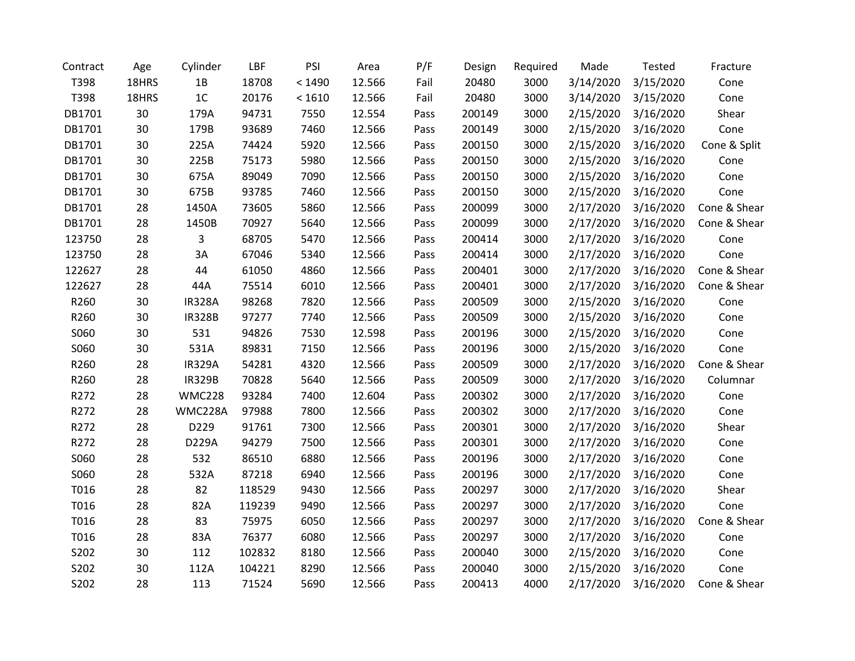| Contract | Age   | Cylinder      | LBF    | PSI    | Area   | P/F  | Design | Required | Made      | Tested    | Fracture     |
|----------|-------|---------------|--------|--------|--------|------|--------|----------|-----------|-----------|--------------|
| T398     | 18HRS | 1B            | 18708  | < 1490 | 12.566 | Fail | 20480  | 3000     | 3/14/2020 | 3/15/2020 | Cone         |
| T398     | 18HRS | 1C            | 20176  | < 1610 | 12.566 | Fail | 20480  | 3000     | 3/14/2020 | 3/15/2020 | Cone         |
| DB1701   | 30    | 179A          | 94731  | 7550   | 12.554 | Pass | 200149 | 3000     | 2/15/2020 | 3/16/2020 | Shear        |
| DB1701   | 30    | 179B          | 93689  | 7460   | 12.566 | Pass | 200149 | 3000     | 2/15/2020 | 3/16/2020 | Cone         |
| DB1701   | 30    | 225A          | 74424  | 5920   | 12.566 | Pass | 200150 | 3000     | 2/15/2020 | 3/16/2020 | Cone & Split |
| DB1701   | 30    | 225B          | 75173  | 5980   | 12.566 | Pass | 200150 | 3000     | 2/15/2020 | 3/16/2020 | Cone         |
| DB1701   | 30    | 675A          | 89049  | 7090   | 12.566 | Pass | 200150 | 3000     | 2/15/2020 | 3/16/2020 | Cone         |
| DB1701   | 30    | 675B          | 93785  | 7460   | 12.566 | Pass | 200150 | 3000     | 2/15/2020 | 3/16/2020 | Cone         |
| DB1701   | 28    | 1450A         | 73605  | 5860   | 12.566 | Pass | 200099 | 3000     | 2/17/2020 | 3/16/2020 | Cone & Shear |
| DB1701   | 28    | 1450B         | 70927  | 5640   | 12.566 | Pass | 200099 | 3000     | 2/17/2020 | 3/16/2020 | Cone & Shear |
| 123750   | 28    | 3             | 68705  | 5470   | 12.566 | Pass | 200414 | 3000     | 2/17/2020 | 3/16/2020 | Cone         |
| 123750   | 28    | 3A            | 67046  | 5340   | 12.566 | Pass | 200414 | 3000     | 2/17/2020 | 3/16/2020 | Cone         |
| 122627   | 28    | 44            | 61050  | 4860   | 12.566 | Pass | 200401 | 3000     | 2/17/2020 | 3/16/2020 | Cone & Shear |
| 122627   | 28    | 44A           | 75514  | 6010   | 12.566 | Pass | 200401 | 3000     | 2/17/2020 | 3/16/2020 | Cone & Shear |
| R260     | 30    | <b>IR328A</b> | 98268  | 7820   | 12.566 | Pass | 200509 | 3000     | 2/15/2020 | 3/16/2020 | Cone         |
| R260     | 30    | <b>IR328B</b> | 97277  | 7740   | 12.566 | Pass | 200509 | 3000     | 2/15/2020 | 3/16/2020 | Cone         |
| S060     | 30    | 531           | 94826  | 7530   | 12.598 | Pass | 200196 | 3000     | 2/15/2020 | 3/16/2020 | Cone         |
| S060     | 30    | 531A          | 89831  | 7150   | 12.566 | Pass | 200196 | 3000     | 2/15/2020 | 3/16/2020 | Cone         |
| R260     | 28    | <b>IR329A</b> | 54281  | 4320   | 12.566 | Pass | 200509 | 3000     | 2/17/2020 | 3/16/2020 | Cone & Shear |
| R260     | 28    | <b>IR329B</b> | 70828  | 5640   | 12.566 | Pass | 200509 | 3000     | 2/17/2020 | 3/16/2020 | Columnar     |
| R272     | 28    | <b>WMC228</b> | 93284  | 7400   | 12.604 | Pass | 200302 | 3000     | 2/17/2020 | 3/16/2020 | Cone         |
| R272     | 28    | WMC228A       | 97988  | 7800   | 12.566 | Pass | 200302 | 3000     | 2/17/2020 | 3/16/2020 | Cone         |
| R272     | 28    | D229          | 91761  | 7300   | 12.566 | Pass | 200301 | 3000     | 2/17/2020 | 3/16/2020 | Shear        |
| R272     | 28    | D229A         | 94279  | 7500   | 12.566 | Pass | 200301 | 3000     | 2/17/2020 | 3/16/2020 | Cone         |
| S060     | 28    | 532           | 86510  | 6880   | 12.566 | Pass | 200196 | 3000     | 2/17/2020 | 3/16/2020 | Cone         |
| S060     | 28    | 532A          | 87218  | 6940   | 12.566 | Pass | 200196 | 3000     | 2/17/2020 | 3/16/2020 | Cone         |
| T016     | 28    | 82            | 118529 | 9430   | 12.566 | Pass | 200297 | 3000     | 2/17/2020 | 3/16/2020 | Shear        |
| T016     | 28    | 82A           | 119239 | 9490   | 12.566 | Pass | 200297 | 3000     | 2/17/2020 | 3/16/2020 | Cone         |
| T016     | 28    | 83            | 75975  | 6050   | 12.566 | Pass | 200297 | 3000     | 2/17/2020 | 3/16/2020 | Cone & Shear |
| T016     | 28    | 83A           | 76377  | 6080   | 12.566 | Pass | 200297 | 3000     | 2/17/2020 | 3/16/2020 | Cone         |
| S202     | 30    | 112           | 102832 | 8180   | 12.566 | Pass | 200040 | 3000     | 2/15/2020 | 3/16/2020 | Cone         |
| S202     | 30    | 112A          | 104221 | 8290   | 12.566 | Pass | 200040 | 3000     | 2/15/2020 | 3/16/2020 | Cone         |
| S202     | 28    | 113           | 71524  | 5690   | 12.566 | Pass | 200413 | 4000     | 2/17/2020 | 3/16/2020 | Cone & Shear |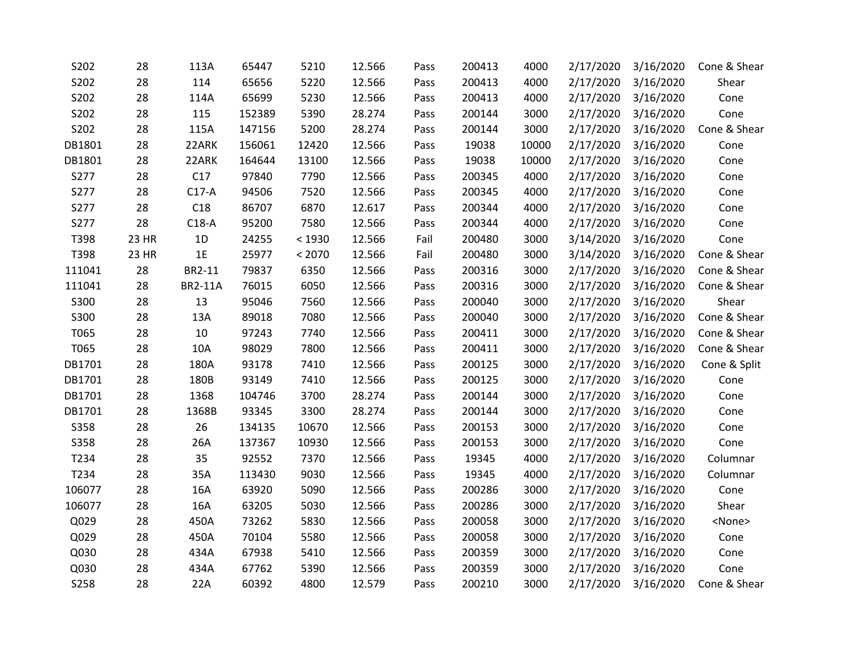| S202        | 28    | 113A           | 65447  | 5210   | 12.566 | Pass | 200413 | 4000  | 2/17/2020 | 3/16/2020 | Cone & Shear  |
|-------------|-------|----------------|--------|--------|--------|------|--------|-------|-----------|-----------|---------------|
| S202        | 28    | 114            | 65656  | 5220   | 12.566 | Pass | 200413 | 4000  | 2/17/2020 | 3/16/2020 | Shear         |
| S202        | 28    | 114A           | 65699  | 5230   | 12.566 | Pass | 200413 | 4000  | 2/17/2020 | 3/16/2020 | Cone          |
| S202        | 28    | 115            | 152389 | 5390   | 28.274 | Pass | 200144 | 3000  | 2/17/2020 | 3/16/2020 | Cone          |
| S202        | 28    | 115A           | 147156 | 5200   | 28.274 | Pass | 200144 | 3000  | 2/17/2020 | 3/16/2020 | Cone & Shear  |
| DB1801      | 28    | 22ARK          | 156061 | 12420  | 12.566 | Pass | 19038  | 10000 | 2/17/2020 | 3/16/2020 | Cone          |
| DB1801      | 28    | 22ARK          | 164644 | 13100  | 12.566 | Pass | 19038  | 10000 | 2/17/2020 | 3/16/2020 | Cone          |
| S277        | 28    | C17            | 97840  | 7790   | 12.566 | Pass | 200345 | 4000  | 2/17/2020 | 3/16/2020 | Cone          |
| S277        | 28    | $C17-A$        | 94506  | 7520   | 12.566 | Pass | 200345 | 4000  | 2/17/2020 | 3/16/2020 | Cone          |
| S277        | 28    | C18            | 86707  | 6870   | 12.617 | Pass | 200344 | 4000  | 2/17/2020 | 3/16/2020 | Cone          |
| S277        | 28    | $C18-A$        | 95200  | 7580   | 12.566 | Pass | 200344 | 4000  | 2/17/2020 | 3/16/2020 | Cone          |
| T398        | 23 HR | 1D             | 24255  | < 1930 | 12.566 | Fail | 200480 | 3000  | 3/14/2020 | 3/16/2020 | Cone          |
| T398        | 23 HR | 1E             | 25977  | < 2070 | 12.566 | Fail | 200480 | 3000  | 3/14/2020 | 3/16/2020 | Cone & Shear  |
| 111041      | 28    | BR2-11         | 79837  | 6350   | 12.566 | Pass | 200316 | 3000  | 2/17/2020 | 3/16/2020 | Cone & Shear  |
| 111041      | 28    | <b>BR2-11A</b> | 76015  | 6050   | 12.566 | Pass | 200316 | 3000  | 2/17/2020 | 3/16/2020 | Cone & Shear  |
| S300        | 28    | 13             | 95046  | 7560   | 12.566 | Pass | 200040 | 3000  | 2/17/2020 | 3/16/2020 | Shear         |
| S300        | 28    | 13A            | 89018  | 7080   | 12.566 | Pass | 200040 | 3000  | 2/17/2020 | 3/16/2020 | Cone & Shear  |
| T065        | 28    | 10             | 97243  | 7740   | 12.566 | Pass | 200411 | 3000  | 2/17/2020 | 3/16/2020 | Cone & Shear  |
| T065        | 28    | 10A            | 98029  | 7800   | 12.566 | Pass | 200411 | 3000  | 2/17/2020 | 3/16/2020 | Cone & Shear  |
| DB1701      | 28    | 180A           | 93178  | 7410   | 12.566 | Pass | 200125 | 3000  | 2/17/2020 | 3/16/2020 | Cone & Split  |
| DB1701      | 28    | 180B           | 93149  | 7410   | 12.566 | Pass | 200125 | 3000  | 2/17/2020 | 3/16/2020 | Cone          |
| DB1701      | 28    | 1368           | 104746 | 3700   | 28.274 | Pass | 200144 | 3000  | 2/17/2020 | 3/16/2020 | Cone          |
| DB1701      | 28    | 1368B          | 93345  | 3300   | 28.274 | Pass | 200144 | 3000  | 2/17/2020 | 3/16/2020 | Cone          |
| S358        | 28    | 26             | 134135 | 10670  | 12.566 | Pass | 200153 | 3000  | 2/17/2020 | 3/16/2020 | Cone          |
| <b>S358</b> | 28    | 26A            | 137367 | 10930  | 12.566 | Pass | 200153 | 3000  | 2/17/2020 | 3/16/2020 | Cone          |
| T234        | 28    | 35             | 92552  | 7370   | 12.566 | Pass | 19345  | 4000  | 2/17/2020 | 3/16/2020 | Columnar      |
| T234        | 28    | 35A            | 113430 | 9030   | 12.566 | Pass | 19345  | 4000  | 2/17/2020 | 3/16/2020 | Columnar      |
| 106077      | 28    | 16A            | 63920  | 5090   | 12.566 | Pass | 200286 | 3000  | 2/17/2020 | 3/16/2020 | Cone          |
| 106077      | 28    | 16A            | 63205  | 5030   | 12.566 | Pass | 200286 | 3000  | 2/17/2020 | 3/16/2020 | Shear         |
| Q029        | 28    | 450A           | 73262  | 5830   | 12.566 | Pass | 200058 | 3000  | 2/17/2020 | 3/16/2020 | <none></none> |
| Q029        | 28    | 450A           | 70104  | 5580   | 12.566 | Pass | 200058 | 3000  | 2/17/2020 | 3/16/2020 | Cone          |
| Q030        | 28    | 434A           | 67938  | 5410   | 12.566 | Pass | 200359 | 3000  | 2/17/2020 | 3/16/2020 | Cone          |
| Q030        | 28    | 434A           | 67762  | 5390   | 12.566 | Pass | 200359 | 3000  | 2/17/2020 | 3/16/2020 | Cone          |
| S258        | 28    | 22A            | 60392  | 4800   | 12.579 | Pass | 200210 | 3000  | 2/17/2020 | 3/16/2020 | Cone & Shear  |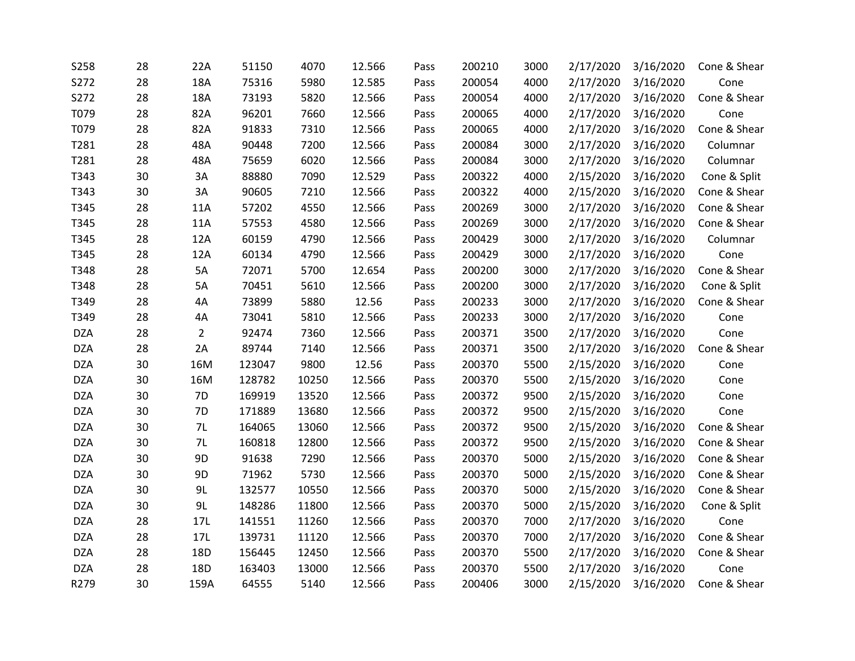| S258       | 28 | 22A            | 51150  | 4070  | 12.566 | Pass | 200210 | 3000 | 2/17/2020 | 3/16/2020 | Cone & Shear |
|------------|----|----------------|--------|-------|--------|------|--------|------|-----------|-----------|--------------|
| S272       | 28 | 18A            | 75316  | 5980  | 12.585 | Pass | 200054 | 4000 | 2/17/2020 | 3/16/2020 | Cone         |
| S272       | 28 | 18A            | 73193  | 5820  | 12.566 | Pass | 200054 | 4000 | 2/17/2020 | 3/16/2020 | Cone & Shear |
| T079       | 28 | 82A            | 96201  | 7660  | 12.566 | Pass | 200065 | 4000 | 2/17/2020 | 3/16/2020 | Cone         |
| T079       | 28 | 82A            | 91833  | 7310  | 12.566 | Pass | 200065 | 4000 | 2/17/2020 | 3/16/2020 | Cone & Shear |
| T281       | 28 | 48A            | 90448  | 7200  | 12.566 | Pass | 200084 | 3000 | 2/17/2020 | 3/16/2020 | Columnar     |
| T281       | 28 | 48A            | 75659  | 6020  | 12.566 | Pass | 200084 | 3000 | 2/17/2020 | 3/16/2020 | Columnar     |
| T343       | 30 | 3A             | 88880  | 7090  | 12.529 | Pass | 200322 | 4000 | 2/15/2020 | 3/16/2020 | Cone & Split |
| T343       | 30 | 3A             | 90605  | 7210  | 12.566 | Pass | 200322 | 4000 | 2/15/2020 | 3/16/2020 | Cone & Shear |
| T345       | 28 | 11A            | 57202  | 4550  | 12.566 | Pass | 200269 | 3000 | 2/17/2020 | 3/16/2020 | Cone & Shear |
| T345       | 28 | 11A            | 57553  | 4580  | 12.566 | Pass | 200269 | 3000 | 2/17/2020 | 3/16/2020 | Cone & Shear |
| T345       | 28 | 12A            | 60159  | 4790  | 12.566 | Pass | 200429 | 3000 | 2/17/2020 | 3/16/2020 | Columnar     |
| T345       | 28 | 12A            | 60134  | 4790  | 12.566 | Pass | 200429 | 3000 | 2/17/2020 | 3/16/2020 | Cone         |
| T348       | 28 | 5A             | 72071  | 5700  | 12.654 | Pass | 200200 | 3000 | 2/17/2020 | 3/16/2020 | Cone & Shear |
| T348       | 28 | 5A             | 70451  | 5610  | 12.566 | Pass | 200200 | 3000 | 2/17/2020 | 3/16/2020 | Cone & Split |
| T349       | 28 | 4A             | 73899  | 5880  | 12.56  | Pass | 200233 | 3000 | 2/17/2020 | 3/16/2020 | Cone & Shear |
| T349       | 28 | 4A             | 73041  | 5810  | 12.566 | Pass | 200233 | 3000 | 2/17/2020 | 3/16/2020 | Cone         |
| <b>DZA</b> | 28 | $\overline{2}$ | 92474  | 7360  | 12.566 | Pass | 200371 | 3500 | 2/17/2020 | 3/16/2020 | Cone         |
| <b>DZA</b> | 28 | 2A             | 89744  | 7140  | 12.566 | Pass | 200371 | 3500 | 2/17/2020 | 3/16/2020 | Cone & Shear |
| <b>DZA</b> | 30 | 16M            | 123047 | 9800  | 12.56  | Pass | 200370 | 5500 | 2/15/2020 | 3/16/2020 | Cone         |
| <b>DZA</b> | 30 | 16M            | 128782 | 10250 | 12.566 | Pass | 200370 | 5500 | 2/15/2020 | 3/16/2020 | Cone         |
| <b>DZA</b> | 30 | 7D             | 169919 | 13520 | 12.566 | Pass | 200372 | 9500 | 2/15/2020 | 3/16/2020 | Cone         |
| <b>DZA</b> | 30 | 7D             | 171889 | 13680 | 12.566 | Pass | 200372 | 9500 | 2/15/2020 | 3/16/2020 | Cone         |
| <b>DZA</b> | 30 | 7L             | 164065 | 13060 | 12.566 | Pass | 200372 | 9500 | 2/15/2020 | 3/16/2020 | Cone & Shear |
| <b>DZA</b> | 30 | 7L             | 160818 | 12800 | 12.566 | Pass | 200372 | 9500 | 2/15/2020 | 3/16/2020 | Cone & Shear |
| <b>DZA</b> | 30 | 9D             | 91638  | 7290  | 12.566 | Pass | 200370 | 5000 | 2/15/2020 | 3/16/2020 | Cone & Shear |
| <b>DZA</b> | 30 | 9D             | 71962  | 5730  | 12.566 | Pass | 200370 | 5000 | 2/15/2020 | 3/16/2020 | Cone & Shear |
| <b>DZA</b> | 30 | 9L             | 132577 | 10550 | 12.566 | Pass | 200370 | 5000 | 2/15/2020 | 3/16/2020 | Cone & Shear |
| <b>DZA</b> | 30 | 9L             | 148286 | 11800 | 12.566 | Pass | 200370 | 5000 | 2/15/2020 | 3/16/2020 | Cone & Split |
| <b>DZA</b> | 28 | 17L            | 141551 | 11260 | 12.566 | Pass | 200370 | 7000 | 2/17/2020 | 3/16/2020 | Cone         |
| <b>DZA</b> | 28 | 17L            | 139731 | 11120 | 12.566 | Pass | 200370 | 7000 | 2/17/2020 | 3/16/2020 | Cone & Shear |
| <b>DZA</b> | 28 | 18D            | 156445 | 12450 | 12.566 | Pass | 200370 | 5500 | 2/17/2020 | 3/16/2020 | Cone & Shear |
| <b>DZA</b> | 28 | 18D            | 163403 | 13000 | 12.566 | Pass | 200370 | 5500 | 2/17/2020 | 3/16/2020 | Cone         |
| R279       | 30 | 159A           | 64555  | 5140  | 12.566 | Pass | 200406 | 3000 | 2/15/2020 | 3/16/2020 | Cone & Shear |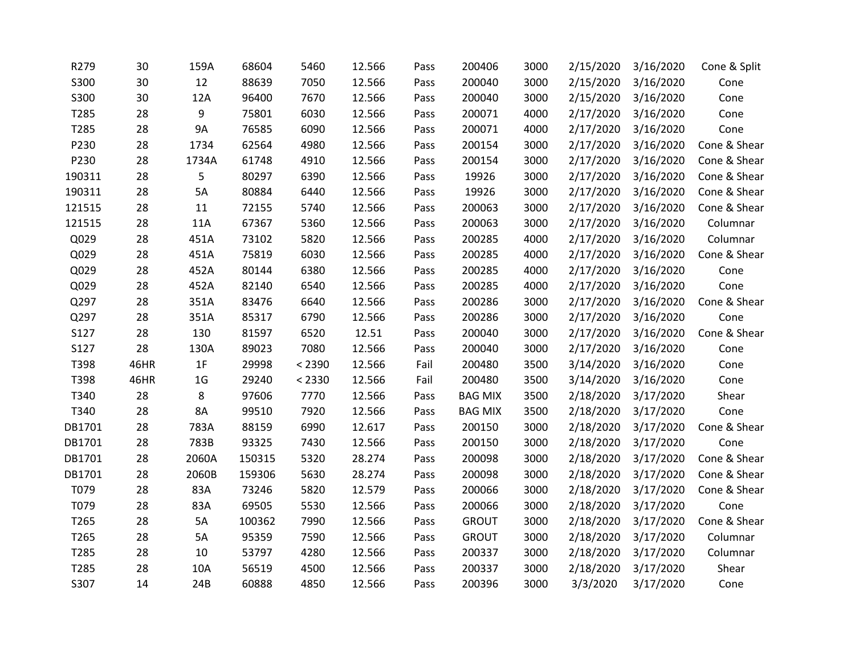| R279   | 30   | 159A           | 68604  | 5460   | 12.566 | Pass | 200406         | 3000 | 2/15/2020 | 3/16/2020 | Cone & Split |
|--------|------|----------------|--------|--------|--------|------|----------------|------|-----------|-----------|--------------|
| S300   | 30   | 12             | 88639  | 7050   | 12.566 | Pass | 200040         | 3000 | 2/15/2020 | 3/16/2020 | Cone         |
| S300   | 30   | 12A            | 96400  | 7670   | 12.566 | Pass | 200040         | 3000 | 2/15/2020 | 3/16/2020 | Cone         |
| T285   | 28   | 9              | 75801  | 6030   | 12.566 | Pass | 200071         | 4000 | 2/17/2020 | 3/16/2020 | Cone         |
| T285   | 28   | <b>9A</b>      | 76585  | 6090   | 12.566 | Pass | 200071         | 4000 | 2/17/2020 | 3/16/2020 | Cone         |
| P230   | 28   | 1734           | 62564  | 4980   | 12.566 | Pass | 200154         | 3000 | 2/17/2020 | 3/16/2020 | Cone & Shear |
| P230   | 28   | 1734A          | 61748  | 4910   | 12.566 | Pass | 200154         | 3000 | 2/17/2020 | 3/16/2020 | Cone & Shear |
| 190311 | 28   | 5              | 80297  | 6390   | 12.566 | Pass | 19926          | 3000 | 2/17/2020 | 3/16/2020 | Cone & Shear |
| 190311 | 28   | 5A             | 80884  | 6440   | 12.566 | Pass | 19926          | 3000 | 2/17/2020 | 3/16/2020 | Cone & Shear |
| 121515 | 28   | 11             | 72155  | 5740   | 12.566 | Pass | 200063         | 3000 | 2/17/2020 | 3/16/2020 | Cone & Shear |
| 121515 | 28   | 11A            | 67367  | 5360   | 12.566 | Pass | 200063         | 3000 | 2/17/2020 | 3/16/2020 | Columnar     |
| Q029   | 28   | 451A           | 73102  | 5820   | 12.566 | Pass | 200285         | 4000 | 2/17/2020 | 3/16/2020 | Columnar     |
| Q029   | 28   | 451A           | 75819  | 6030   | 12.566 | Pass | 200285         | 4000 | 2/17/2020 | 3/16/2020 | Cone & Shear |
| Q029   | 28   | 452A           | 80144  | 6380   | 12.566 | Pass | 200285         | 4000 | 2/17/2020 | 3/16/2020 | Cone         |
| Q029   | 28   | 452A           | 82140  | 6540   | 12.566 | Pass | 200285         | 4000 | 2/17/2020 | 3/16/2020 | Cone         |
| Q297   | 28   | 351A           | 83476  | 6640   | 12.566 | Pass | 200286         | 3000 | 2/17/2020 | 3/16/2020 | Cone & Shear |
| Q297   | 28   | 351A           | 85317  | 6790   | 12.566 | Pass | 200286         | 3000 | 2/17/2020 | 3/16/2020 | Cone         |
| S127   | 28   | 130            | 81597  | 6520   | 12.51  | Pass | 200040         | 3000 | 2/17/2020 | 3/16/2020 | Cone & Shear |
| S127   | 28   | 130A           | 89023  | 7080   | 12.566 | Pass | 200040         | 3000 | 2/17/2020 | 3/16/2020 | Cone         |
| T398   | 46HR | 1F             | 29998  | < 2390 | 12.566 | Fail | 200480         | 3500 | 3/14/2020 | 3/16/2020 | Cone         |
| T398   | 46HR | 1 <sub>G</sub> | 29240  | < 2330 | 12.566 | Fail | 200480         | 3500 | 3/14/2020 | 3/16/2020 | Cone         |
| T340   | 28   | 8              | 97606  | 7770   | 12.566 | Pass | <b>BAG MIX</b> | 3500 | 2/18/2020 | 3/17/2020 | Shear        |
| T340   | 28   | <b>8A</b>      | 99510  | 7920   | 12.566 | Pass | <b>BAG MIX</b> | 3500 | 2/18/2020 | 3/17/2020 | Cone         |
| DB1701 | 28   | 783A           | 88159  | 6990   | 12.617 | Pass | 200150         | 3000 | 2/18/2020 | 3/17/2020 | Cone & Shear |
| DB1701 | 28   | 783B           | 93325  | 7430   | 12.566 | Pass | 200150         | 3000 | 2/18/2020 | 3/17/2020 | Cone         |
| DB1701 | 28   | 2060A          | 150315 | 5320   | 28.274 | Pass | 200098         | 3000 | 2/18/2020 | 3/17/2020 | Cone & Shear |
| DB1701 | 28   | 2060B          | 159306 | 5630   | 28.274 | Pass | 200098         | 3000 | 2/18/2020 | 3/17/2020 | Cone & Shear |
| T079   | 28   | 83A            | 73246  | 5820   | 12.579 | Pass | 200066         | 3000 | 2/18/2020 | 3/17/2020 | Cone & Shear |
| T079   | 28   | 83A            | 69505  | 5530   | 12.566 | Pass | 200066         | 3000 | 2/18/2020 | 3/17/2020 | Cone         |
| T265   | 28   | 5A             | 100362 | 7990   | 12.566 | Pass | <b>GROUT</b>   | 3000 | 2/18/2020 | 3/17/2020 | Cone & Shear |
| T265   | 28   | 5A             | 95359  | 7590   | 12.566 | Pass | <b>GROUT</b>   | 3000 | 2/18/2020 | 3/17/2020 | Columnar     |
| T285   | 28   | 10             | 53797  | 4280   | 12.566 | Pass | 200337         | 3000 | 2/18/2020 | 3/17/2020 | Columnar     |
| T285   | 28   | 10A            | 56519  | 4500   | 12.566 | Pass | 200337         | 3000 | 2/18/2020 | 3/17/2020 | Shear        |
| S307   | 14   | 24B            | 60888  | 4850   | 12.566 | Pass | 200396         | 3000 | 3/3/2020  | 3/17/2020 | Cone         |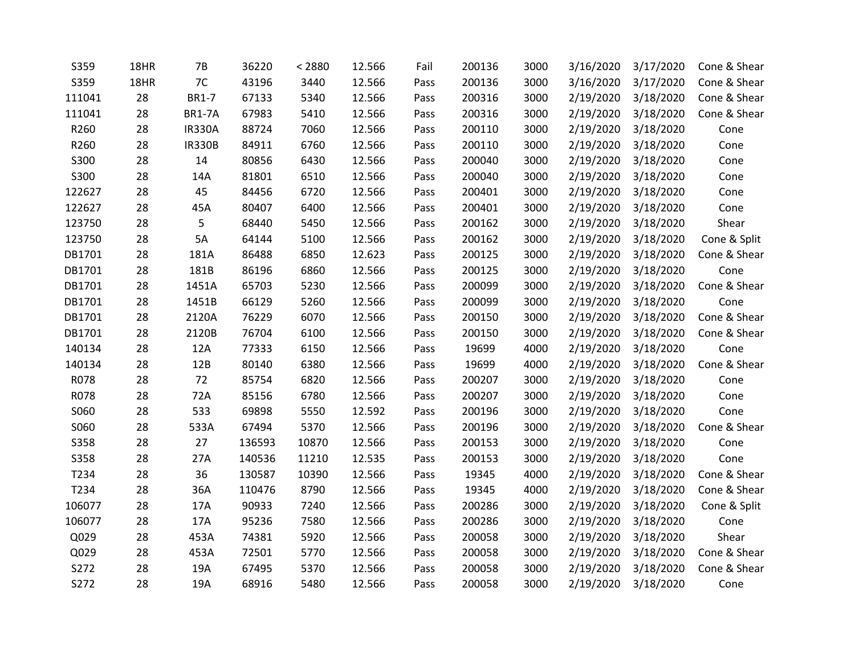| S359        | 18HR | <b>7B</b>     | 36220  | < 2880 | 12.566 | Fail | 200136 | 3000 | 3/16/2020 | 3/17/2020 | Cone & Shear |
|-------------|------|---------------|--------|--------|--------|------|--------|------|-----------|-----------|--------------|
| S359        | 18HR | 7C            | 43196  | 3440   | 12.566 | Pass | 200136 | 3000 | 3/16/2020 | 3/17/2020 | Cone & Shear |
| 111041      | 28   | <b>BR1-7</b>  | 67133  | 5340   | 12.566 | Pass | 200316 | 3000 | 2/19/2020 | 3/18/2020 | Cone & Shear |
| 111041      | 28   | <b>BR1-7A</b> | 67983  | 5410   | 12.566 | Pass | 200316 | 3000 | 2/19/2020 | 3/18/2020 | Cone & Shear |
| R260        | 28   | <b>IR330A</b> | 88724  | 7060   | 12.566 | Pass | 200110 | 3000 | 2/19/2020 | 3/18/2020 | Cone         |
| R260        | 28   | <b>IR330B</b> | 84911  | 6760   | 12.566 | Pass | 200110 | 3000 | 2/19/2020 | 3/18/2020 | Cone         |
| S300        | 28   | 14            | 80856  | 6430   | 12.566 | Pass | 200040 | 3000 | 2/19/2020 | 3/18/2020 | Cone         |
| S300        | 28   | 14A           | 81801  | 6510   | 12.566 | Pass | 200040 | 3000 | 2/19/2020 | 3/18/2020 | Cone         |
| 122627      | 28   | 45            | 84456  | 6720   | 12.566 | Pass | 200401 | 3000 | 2/19/2020 | 3/18/2020 | Cone         |
| 122627      | 28   | 45A           | 80407  | 6400   | 12.566 | Pass | 200401 | 3000 | 2/19/2020 | 3/18/2020 | Cone         |
| 123750      | 28   | 5             | 68440  | 5450   | 12.566 | Pass | 200162 | 3000 | 2/19/2020 | 3/18/2020 | Shear        |
| 123750      | 28   | 5A            | 64144  | 5100   | 12.566 | Pass | 200162 | 3000 | 2/19/2020 | 3/18/2020 | Cone & Split |
| DB1701      | 28   | 181A          | 86488  | 6850   | 12.623 | Pass | 200125 | 3000 | 2/19/2020 | 3/18/2020 | Cone & Shear |
| DB1701      | 28   | 181B          | 86196  | 6860   | 12.566 | Pass | 200125 | 3000 | 2/19/2020 | 3/18/2020 | Cone         |
| DB1701      | 28   | 1451A         | 65703  | 5230   | 12.566 | Pass | 200099 | 3000 | 2/19/2020 | 3/18/2020 | Cone & Shear |
| DB1701      | 28   | 1451B         | 66129  | 5260   | 12.566 | Pass | 200099 | 3000 | 2/19/2020 | 3/18/2020 | Cone         |
| DB1701      | 28   | 2120A         | 76229  | 6070   | 12.566 | Pass | 200150 | 3000 | 2/19/2020 | 3/18/2020 | Cone & Shear |
| DB1701      | 28   | 2120B         | 76704  | 6100   | 12.566 | Pass | 200150 | 3000 | 2/19/2020 | 3/18/2020 | Cone & Shear |
| 140134      | 28   | 12A           | 77333  | 6150   | 12.566 | Pass | 19699  | 4000 | 2/19/2020 | 3/18/2020 | Cone         |
| 140134      | 28   | 12B           | 80140  | 6380   | 12.566 | Pass | 19699  | 4000 | 2/19/2020 | 3/18/2020 | Cone & Shear |
| R078        | 28   | 72            | 85754  | 6820   | 12.566 | Pass | 200207 | 3000 | 2/19/2020 | 3/18/2020 | Cone         |
| R078        | 28   | 72A           | 85156  | 6780   | 12.566 | Pass | 200207 | 3000 | 2/19/2020 | 3/18/2020 | Cone         |
| S060        | 28   | 533           | 69898  | 5550   | 12.592 | Pass | 200196 | 3000 | 2/19/2020 | 3/18/2020 | Cone         |
| S060        | 28   | 533A          | 67494  | 5370   | 12.566 | Pass | 200196 | 3000 | 2/19/2020 | 3/18/2020 | Cone & Shear |
| <b>S358</b> | 28   | 27            | 136593 | 10870  | 12.566 | Pass | 200153 | 3000 | 2/19/2020 | 3/18/2020 | Cone         |
| S358        | 28   | 27A           | 140536 | 11210  | 12.535 | Pass | 200153 | 3000 | 2/19/2020 | 3/18/2020 | Cone         |
| T234        | 28   | 36            | 130587 | 10390  | 12.566 | Pass | 19345  | 4000 | 2/19/2020 | 3/18/2020 | Cone & Shear |
| T234        | 28   | 36A           | 110476 | 8790   | 12.566 | Pass | 19345  | 4000 | 2/19/2020 | 3/18/2020 | Cone & Shear |
| 106077      | 28   | 17A           | 90933  | 7240   | 12.566 | Pass | 200286 | 3000 | 2/19/2020 | 3/18/2020 | Cone & Split |
| 106077      | 28   | 17A           | 95236  | 7580   | 12.566 | Pass | 200286 | 3000 | 2/19/2020 | 3/18/2020 | Cone         |
| Q029        | 28   | 453A          | 74381  | 5920   | 12.566 | Pass | 200058 | 3000 | 2/19/2020 | 3/18/2020 | Shear        |
| Q029        | 28   | 453A          | 72501  | 5770   | 12.566 | Pass | 200058 | 3000 | 2/19/2020 | 3/18/2020 | Cone & Shear |
| S272        | 28   | 19A           | 67495  | 5370   | 12.566 | Pass | 200058 | 3000 | 2/19/2020 | 3/18/2020 | Cone & Shear |
| S272        | 28   | 19A           | 68916  | 5480   | 12.566 | Pass | 200058 | 3000 | 2/19/2020 | 3/18/2020 | Cone         |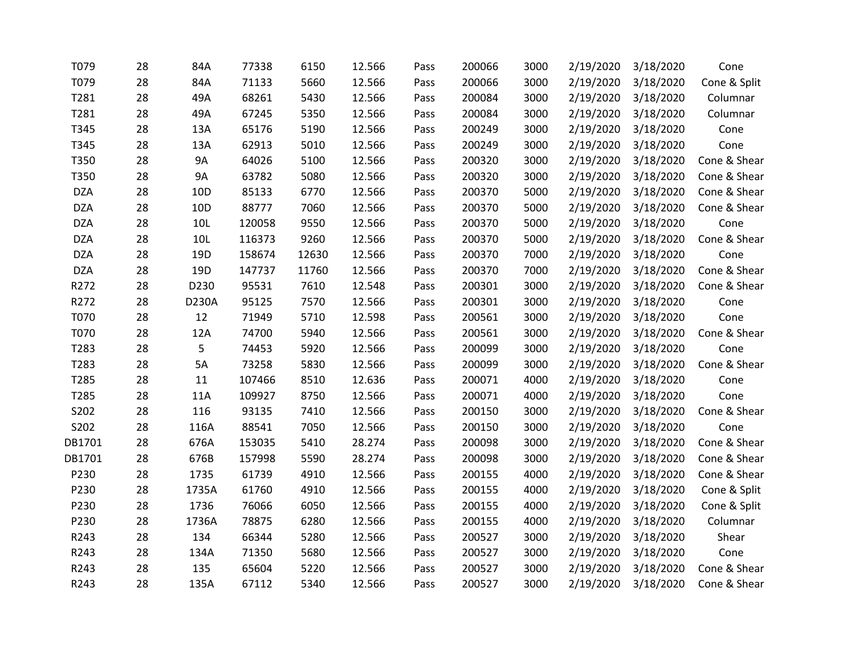| T079       | 28 | 84A       | 77338  | 6150  | 12.566 | Pass | 200066 | 3000 | 2/19/2020 | 3/18/2020 | Cone         |
|------------|----|-----------|--------|-------|--------|------|--------|------|-----------|-----------|--------------|
| T079       | 28 | 84A       | 71133  | 5660  | 12.566 | Pass | 200066 | 3000 | 2/19/2020 | 3/18/2020 | Cone & Split |
| T281       | 28 | 49A       | 68261  | 5430  | 12.566 | Pass | 200084 | 3000 | 2/19/2020 | 3/18/2020 | Columnar     |
| T281       | 28 | 49A       | 67245  | 5350  | 12.566 | Pass | 200084 | 3000 | 2/19/2020 | 3/18/2020 | Columnar     |
| T345       | 28 | 13A       | 65176  | 5190  | 12.566 | Pass | 200249 | 3000 | 2/19/2020 | 3/18/2020 | Cone         |
| T345       | 28 | 13A       | 62913  | 5010  | 12.566 | Pass | 200249 | 3000 | 2/19/2020 | 3/18/2020 | Cone         |
| T350       | 28 | <b>9A</b> | 64026  | 5100  | 12.566 | Pass | 200320 | 3000 | 2/19/2020 | 3/18/2020 | Cone & Shear |
| T350       | 28 | <b>9A</b> | 63782  | 5080  | 12.566 | Pass | 200320 | 3000 | 2/19/2020 | 3/18/2020 | Cone & Shear |
| <b>DZA</b> | 28 | 10D       | 85133  | 6770  | 12.566 | Pass | 200370 | 5000 | 2/19/2020 | 3/18/2020 | Cone & Shear |
| <b>DZA</b> | 28 | 10D       | 88777  | 7060  | 12.566 | Pass | 200370 | 5000 | 2/19/2020 | 3/18/2020 | Cone & Shear |
| <b>DZA</b> | 28 | 10L       | 120058 | 9550  | 12.566 | Pass | 200370 | 5000 | 2/19/2020 | 3/18/2020 | Cone         |
| <b>DZA</b> | 28 | 10L       | 116373 | 9260  | 12.566 | Pass | 200370 | 5000 | 2/19/2020 | 3/18/2020 | Cone & Shear |
| <b>DZA</b> | 28 | 19D       | 158674 | 12630 | 12.566 | Pass | 200370 | 7000 | 2/19/2020 | 3/18/2020 | Cone         |
| <b>DZA</b> | 28 | 19D       | 147737 | 11760 | 12.566 | Pass | 200370 | 7000 | 2/19/2020 | 3/18/2020 | Cone & Shear |
| R272       | 28 | D230      | 95531  | 7610  | 12.548 | Pass | 200301 | 3000 | 2/19/2020 | 3/18/2020 | Cone & Shear |
| R272       | 28 | D230A     | 95125  | 7570  | 12.566 | Pass | 200301 | 3000 | 2/19/2020 | 3/18/2020 | Cone         |
| T070       | 28 | 12        | 71949  | 5710  | 12.598 | Pass | 200561 | 3000 | 2/19/2020 | 3/18/2020 | Cone         |
| T070       | 28 | 12A       | 74700  | 5940  | 12.566 | Pass | 200561 | 3000 | 2/19/2020 | 3/18/2020 | Cone & Shear |
| T283       | 28 | 5         | 74453  | 5920  | 12.566 | Pass | 200099 | 3000 | 2/19/2020 | 3/18/2020 | Cone         |
| T283       | 28 | 5A        | 73258  | 5830  | 12.566 | Pass | 200099 | 3000 | 2/19/2020 | 3/18/2020 | Cone & Shear |
| T285       | 28 | 11        | 107466 | 8510  | 12.636 | Pass | 200071 | 4000 | 2/19/2020 | 3/18/2020 | Cone         |
| T285       | 28 | 11A       | 109927 | 8750  | 12.566 | Pass | 200071 | 4000 | 2/19/2020 | 3/18/2020 | Cone         |
| S202       | 28 | 116       | 93135  | 7410  | 12.566 | Pass | 200150 | 3000 | 2/19/2020 | 3/18/2020 | Cone & Shear |
| S202       | 28 | 116A      | 88541  | 7050  | 12.566 | Pass | 200150 | 3000 | 2/19/2020 | 3/18/2020 | Cone         |
| DB1701     | 28 | 676A      | 153035 | 5410  | 28.274 | Pass | 200098 | 3000 | 2/19/2020 | 3/18/2020 | Cone & Shear |
| DB1701     | 28 | 676B      | 157998 | 5590  | 28.274 | Pass | 200098 | 3000 | 2/19/2020 | 3/18/2020 | Cone & Shear |
| P230       | 28 | 1735      | 61739  | 4910  | 12.566 | Pass | 200155 | 4000 | 2/19/2020 | 3/18/2020 | Cone & Shear |
| P230       | 28 | 1735A     | 61760  | 4910  | 12.566 | Pass | 200155 | 4000 | 2/19/2020 | 3/18/2020 | Cone & Split |
| P230       | 28 | 1736      | 76066  | 6050  | 12.566 | Pass | 200155 | 4000 | 2/19/2020 | 3/18/2020 | Cone & Split |
| P230       | 28 | 1736A     | 78875  | 6280  | 12.566 | Pass | 200155 | 4000 | 2/19/2020 | 3/18/2020 | Columnar     |
| R243       | 28 | 134       | 66344  | 5280  | 12.566 | Pass | 200527 | 3000 | 2/19/2020 | 3/18/2020 | Shear        |
| R243       | 28 | 134A      | 71350  | 5680  | 12.566 | Pass | 200527 | 3000 | 2/19/2020 | 3/18/2020 | Cone         |
| R243       | 28 | 135       | 65604  | 5220  | 12.566 | Pass | 200527 | 3000 | 2/19/2020 | 3/18/2020 | Cone & Shear |
| R243       | 28 | 135A      | 67112  | 5340  | 12.566 | Pass | 200527 | 3000 | 2/19/2020 | 3/18/2020 | Cone & Shear |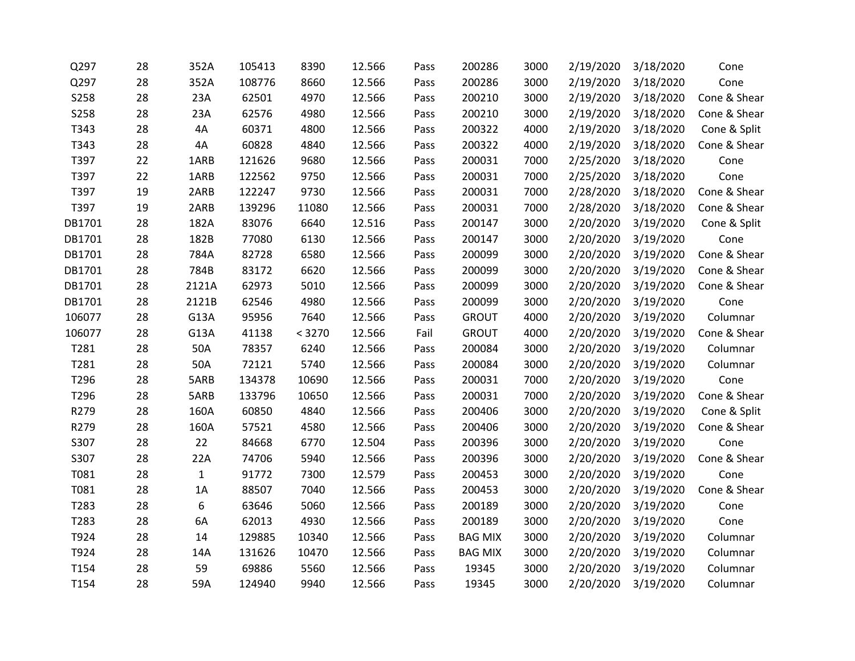| Q297   | 28 | 352A         | 105413 | 8390   | 12.566 | Pass | 200286         | 3000 | 2/19/2020 | 3/18/2020 | Cone         |
|--------|----|--------------|--------|--------|--------|------|----------------|------|-----------|-----------|--------------|
| Q297   | 28 | 352A         | 108776 | 8660   | 12.566 | Pass | 200286         | 3000 | 2/19/2020 | 3/18/2020 | Cone         |
| S258   | 28 | 23A          | 62501  | 4970   | 12.566 | Pass | 200210         | 3000 | 2/19/2020 | 3/18/2020 | Cone & Shear |
| S258   | 28 | 23A          | 62576  | 4980   | 12.566 | Pass | 200210         | 3000 | 2/19/2020 | 3/18/2020 | Cone & Shear |
| T343   | 28 | 4A           | 60371  | 4800   | 12.566 | Pass | 200322         | 4000 | 2/19/2020 | 3/18/2020 | Cone & Split |
| T343   | 28 | 4A           | 60828  | 4840   | 12.566 | Pass | 200322         | 4000 | 2/19/2020 | 3/18/2020 | Cone & Shear |
| T397   | 22 | 1ARB         | 121626 | 9680   | 12.566 | Pass | 200031         | 7000 | 2/25/2020 | 3/18/2020 | Cone         |
| T397   | 22 | 1ARB         | 122562 | 9750   | 12.566 | Pass | 200031         | 7000 | 2/25/2020 | 3/18/2020 | Cone         |
| T397   | 19 | 2ARB         | 122247 | 9730   | 12.566 | Pass | 200031         | 7000 | 2/28/2020 | 3/18/2020 | Cone & Shear |
| T397   | 19 | 2ARB         | 139296 | 11080  | 12.566 | Pass | 200031         | 7000 | 2/28/2020 | 3/18/2020 | Cone & Shear |
| DB1701 | 28 | 182A         | 83076  | 6640   | 12.516 | Pass | 200147         | 3000 | 2/20/2020 | 3/19/2020 | Cone & Split |
| DB1701 | 28 | 182B         | 77080  | 6130   | 12.566 | Pass | 200147         | 3000 | 2/20/2020 | 3/19/2020 | Cone         |
| DB1701 | 28 | 784A         | 82728  | 6580   | 12.566 | Pass | 200099         | 3000 | 2/20/2020 | 3/19/2020 | Cone & Shear |
| DB1701 | 28 | 784B         | 83172  | 6620   | 12.566 | Pass | 200099         | 3000 | 2/20/2020 | 3/19/2020 | Cone & Shear |
| DB1701 | 28 | 2121A        | 62973  | 5010   | 12.566 | Pass | 200099         | 3000 | 2/20/2020 | 3/19/2020 | Cone & Shear |
| DB1701 | 28 | 2121B        | 62546  | 4980   | 12.566 | Pass | 200099         | 3000 | 2/20/2020 | 3/19/2020 | Cone         |
| 106077 | 28 | G13A         | 95956  | 7640   | 12.566 | Pass | <b>GROUT</b>   | 4000 | 2/20/2020 | 3/19/2020 | Columnar     |
| 106077 | 28 | G13A         | 41138  | < 3270 | 12.566 | Fail | <b>GROUT</b>   | 4000 | 2/20/2020 | 3/19/2020 | Cone & Shear |
| T281   | 28 | 50A          | 78357  | 6240   | 12.566 | Pass | 200084         | 3000 | 2/20/2020 | 3/19/2020 | Columnar     |
| T281   | 28 | 50A          | 72121  | 5740   | 12.566 | Pass | 200084         | 3000 | 2/20/2020 | 3/19/2020 | Columnar     |
| T296   | 28 | 5ARB         | 134378 | 10690  | 12.566 | Pass | 200031         | 7000 | 2/20/2020 | 3/19/2020 | Cone         |
| T296   | 28 | 5ARB         | 133796 | 10650  | 12.566 | Pass | 200031         | 7000 | 2/20/2020 | 3/19/2020 | Cone & Shear |
| R279   | 28 | 160A         | 60850  | 4840   | 12.566 | Pass | 200406         | 3000 | 2/20/2020 | 3/19/2020 | Cone & Split |
| R279   | 28 | 160A         | 57521  | 4580   | 12.566 | Pass | 200406         | 3000 | 2/20/2020 | 3/19/2020 | Cone & Shear |
| S307   | 28 | 22           | 84668  | 6770   | 12.504 | Pass | 200396         | 3000 | 2/20/2020 | 3/19/2020 | Cone         |
| S307   | 28 | 22A          | 74706  | 5940   | 12.566 | Pass | 200396         | 3000 | 2/20/2020 | 3/19/2020 | Cone & Shear |
| T081   | 28 | $\mathbf{1}$ | 91772  | 7300   | 12.579 | Pass | 200453         | 3000 | 2/20/2020 | 3/19/2020 | Cone         |
| T081   | 28 | 1A           | 88507  | 7040   | 12.566 | Pass | 200453         | 3000 | 2/20/2020 | 3/19/2020 | Cone & Shear |
| T283   | 28 | 6            | 63646  | 5060   | 12.566 | Pass | 200189         | 3000 | 2/20/2020 | 3/19/2020 | Cone         |
| T283   | 28 | 6A           | 62013  | 4930   | 12.566 | Pass | 200189         | 3000 | 2/20/2020 | 3/19/2020 | Cone         |
| T924   | 28 | 14           | 129885 | 10340  | 12.566 | Pass | <b>BAG MIX</b> | 3000 | 2/20/2020 | 3/19/2020 | Columnar     |
| T924   | 28 | 14A          | 131626 | 10470  | 12.566 | Pass | <b>BAG MIX</b> | 3000 | 2/20/2020 | 3/19/2020 | Columnar     |
| T154   | 28 | 59           | 69886  | 5560   | 12.566 | Pass | 19345          | 3000 | 2/20/2020 | 3/19/2020 | Columnar     |
| T154   | 28 | 59A          | 124940 | 9940   | 12.566 | Pass | 19345          | 3000 | 2/20/2020 | 3/19/2020 | Columnar     |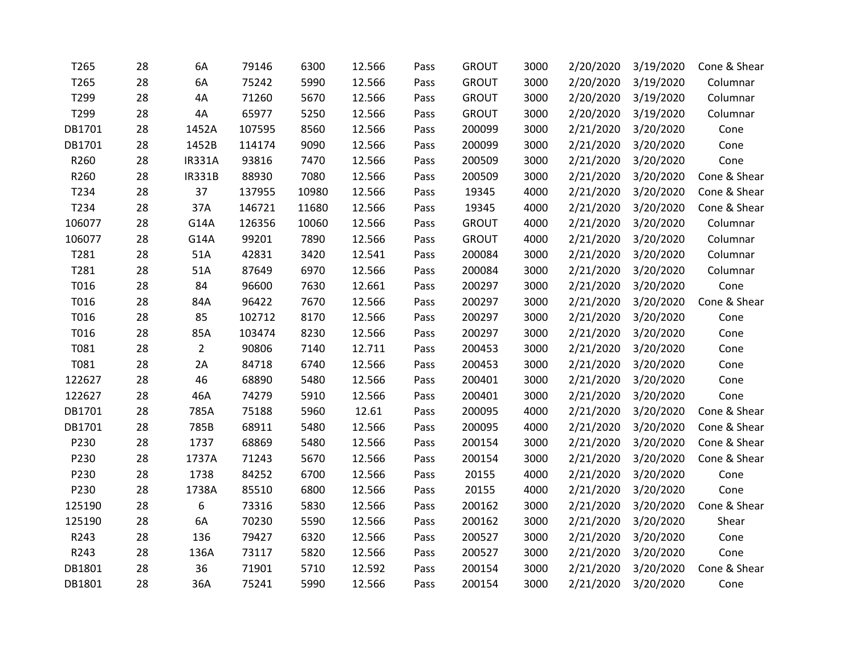| T265   | 28 | 6A             | 79146  | 6300  | 12.566 | Pass | <b>GROUT</b> | 3000 | 2/20/2020 | 3/19/2020 | Cone & Shear |
|--------|----|----------------|--------|-------|--------|------|--------------|------|-----------|-----------|--------------|
| T265   | 28 | 6A             | 75242  | 5990  | 12.566 | Pass | <b>GROUT</b> | 3000 | 2/20/2020 | 3/19/2020 | Columnar     |
| T299   | 28 | 4A             | 71260  | 5670  | 12.566 | Pass | <b>GROUT</b> | 3000 | 2/20/2020 | 3/19/2020 | Columnar     |
| T299   | 28 | 4A             | 65977  | 5250  | 12.566 | Pass | <b>GROUT</b> | 3000 | 2/20/2020 | 3/19/2020 | Columnar     |
| DB1701 | 28 | 1452A          | 107595 | 8560  | 12.566 | Pass | 200099       | 3000 | 2/21/2020 | 3/20/2020 | Cone         |
| DB1701 | 28 | 1452B          | 114174 | 9090  | 12.566 | Pass | 200099       | 3000 | 2/21/2020 | 3/20/2020 | Cone         |
| R260   | 28 | <b>IR331A</b>  | 93816  | 7470  | 12.566 | Pass | 200509       | 3000 | 2/21/2020 | 3/20/2020 | Cone         |
| R260   | 28 | <b>IR331B</b>  | 88930  | 7080  | 12.566 | Pass | 200509       | 3000 | 2/21/2020 | 3/20/2020 | Cone & Shear |
| T234   | 28 | 37             | 137955 | 10980 | 12.566 | Pass | 19345        | 4000 | 2/21/2020 | 3/20/2020 | Cone & Shear |
| T234   | 28 | 37A            | 146721 | 11680 | 12.566 | Pass | 19345        | 4000 | 2/21/2020 | 3/20/2020 | Cone & Shear |
| 106077 | 28 | G14A           | 126356 | 10060 | 12.566 | Pass | <b>GROUT</b> | 4000 | 2/21/2020 | 3/20/2020 | Columnar     |
| 106077 | 28 | G14A           | 99201  | 7890  | 12.566 | Pass | <b>GROUT</b> | 4000 | 2/21/2020 | 3/20/2020 | Columnar     |
| T281   | 28 | 51A            | 42831  | 3420  | 12.541 | Pass | 200084       | 3000 | 2/21/2020 | 3/20/2020 | Columnar     |
| T281   | 28 | 51A            | 87649  | 6970  | 12.566 | Pass | 200084       | 3000 | 2/21/2020 | 3/20/2020 | Columnar     |
| T016   | 28 | 84             | 96600  | 7630  | 12.661 | Pass | 200297       | 3000 | 2/21/2020 | 3/20/2020 | Cone         |
| T016   | 28 | 84A            | 96422  | 7670  | 12.566 | Pass | 200297       | 3000 | 2/21/2020 | 3/20/2020 | Cone & Shear |
| T016   | 28 | 85             | 102712 | 8170  | 12.566 | Pass | 200297       | 3000 | 2/21/2020 | 3/20/2020 | Cone         |
| T016   | 28 | 85A            | 103474 | 8230  | 12.566 | Pass | 200297       | 3000 | 2/21/2020 | 3/20/2020 | Cone         |
| T081   | 28 | $\overline{2}$ | 90806  | 7140  | 12.711 | Pass | 200453       | 3000 | 2/21/2020 | 3/20/2020 | Cone         |
| T081   | 28 | 2A             | 84718  | 6740  | 12.566 | Pass | 200453       | 3000 | 2/21/2020 | 3/20/2020 | Cone         |
| 122627 | 28 | 46             | 68890  | 5480  | 12.566 | Pass | 200401       | 3000 | 2/21/2020 | 3/20/2020 | Cone         |
| 122627 | 28 | 46A            | 74279  | 5910  | 12.566 | Pass | 200401       | 3000 | 2/21/2020 | 3/20/2020 | Cone         |
| DB1701 | 28 | 785A           | 75188  | 5960  | 12.61  | Pass | 200095       | 4000 | 2/21/2020 | 3/20/2020 | Cone & Shear |
| DB1701 | 28 | 785B           | 68911  | 5480  | 12.566 | Pass | 200095       | 4000 | 2/21/2020 | 3/20/2020 | Cone & Shear |
| P230   | 28 | 1737           | 68869  | 5480  | 12.566 | Pass | 200154       | 3000 | 2/21/2020 | 3/20/2020 | Cone & Shear |
| P230   | 28 | 1737A          | 71243  | 5670  | 12.566 | Pass | 200154       | 3000 | 2/21/2020 | 3/20/2020 | Cone & Shear |
| P230   | 28 | 1738           | 84252  | 6700  | 12.566 | Pass | 20155        | 4000 | 2/21/2020 | 3/20/2020 | Cone         |
| P230   | 28 | 1738A          | 85510  | 6800  | 12.566 | Pass | 20155        | 4000 | 2/21/2020 | 3/20/2020 | Cone         |
| 125190 | 28 | 6              | 73316  | 5830  | 12.566 | Pass | 200162       | 3000 | 2/21/2020 | 3/20/2020 | Cone & Shear |
| 125190 | 28 | 6A             | 70230  | 5590  | 12.566 | Pass | 200162       | 3000 | 2/21/2020 | 3/20/2020 | Shear        |
| R243   | 28 | 136            | 79427  | 6320  | 12.566 | Pass | 200527       | 3000 | 2/21/2020 | 3/20/2020 | Cone         |
| R243   | 28 | 136A           | 73117  | 5820  | 12.566 | Pass | 200527       | 3000 | 2/21/2020 | 3/20/2020 | Cone         |
| DB1801 | 28 | 36             | 71901  | 5710  | 12.592 | Pass | 200154       | 3000 | 2/21/2020 | 3/20/2020 | Cone & Shear |
| DB1801 | 28 | 36A            | 75241  | 5990  | 12.566 | Pass | 200154       | 3000 | 2/21/2020 | 3/20/2020 | Cone         |